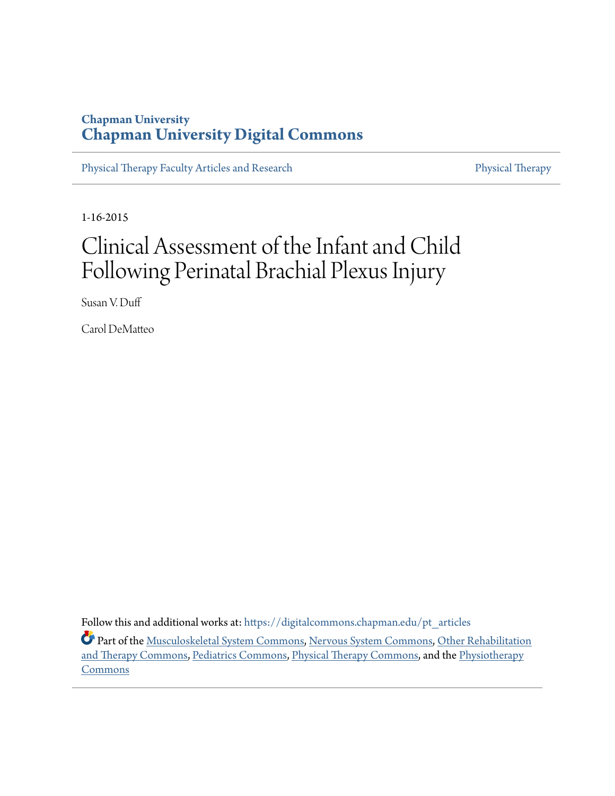# **Chapman University [Chapman University Digital Commons](https://digitalcommons.chapman.edu?utm_source=digitalcommons.chapman.edu%2Fpt_articles%2F97&utm_medium=PDF&utm_campaign=PDFCoverPages)**

[Physical Therapy Faculty Articles and Research](https://digitalcommons.chapman.edu/pt_articles?utm_source=digitalcommons.chapman.edu%2Fpt_articles%2F97&utm_medium=PDF&utm_campaign=PDFCoverPages) [Physical Therapy](https://digitalcommons.chapman.edu/physicaltherapy?utm_source=digitalcommons.chapman.edu%2Fpt_articles%2F97&utm_medium=PDF&utm_campaign=PDFCoverPages)

1-16-2015

# Clinical Assessment of the Infant and Child Following Perinatal Brachial Plexus Injury

Susan V. Duff

Carol DeMatteo

Follow this and additional works at: [https://digitalcommons.chapman.edu/pt\\_articles](https://digitalcommons.chapman.edu/pt_articles?utm_source=digitalcommons.chapman.edu%2Fpt_articles%2F97&utm_medium=PDF&utm_campaign=PDFCoverPages) Part of the [Musculoskeletal System Commons,](http://network.bepress.com/hgg/discipline/938?utm_source=digitalcommons.chapman.edu%2Fpt_articles%2F97&utm_medium=PDF&utm_campaign=PDFCoverPages) [Nervous System Commons,](http://network.bepress.com/hgg/discipline/949?utm_source=digitalcommons.chapman.edu%2Fpt_articles%2F97&utm_medium=PDF&utm_campaign=PDFCoverPages) [Other Rehabilitation](http://network.bepress.com/hgg/discipline/758?utm_source=digitalcommons.chapman.edu%2Fpt_articles%2F97&utm_medium=PDF&utm_campaign=PDFCoverPages) [and Therapy Commons,](http://network.bepress.com/hgg/discipline/758?utm_source=digitalcommons.chapman.edu%2Fpt_articles%2F97&utm_medium=PDF&utm_campaign=PDFCoverPages) [Pediatrics Commons,](http://network.bepress.com/hgg/discipline/700?utm_source=digitalcommons.chapman.edu%2Fpt_articles%2F97&utm_medium=PDF&utm_campaign=PDFCoverPages) [Physical Therapy Commons,](http://network.bepress.com/hgg/discipline/754?utm_source=digitalcommons.chapman.edu%2Fpt_articles%2F97&utm_medium=PDF&utm_campaign=PDFCoverPages) and the [Physiotherapy](http://network.bepress.com/hgg/discipline/1086?utm_source=digitalcommons.chapman.edu%2Fpt_articles%2F97&utm_medium=PDF&utm_campaign=PDFCoverPages) [Commons](http://network.bepress.com/hgg/discipline/1086?utm_source=digitalcommons.chapman.edu%2Fpt_articles%2F97&utm_medium=PDF&utm_campaign=PDFCoverPages)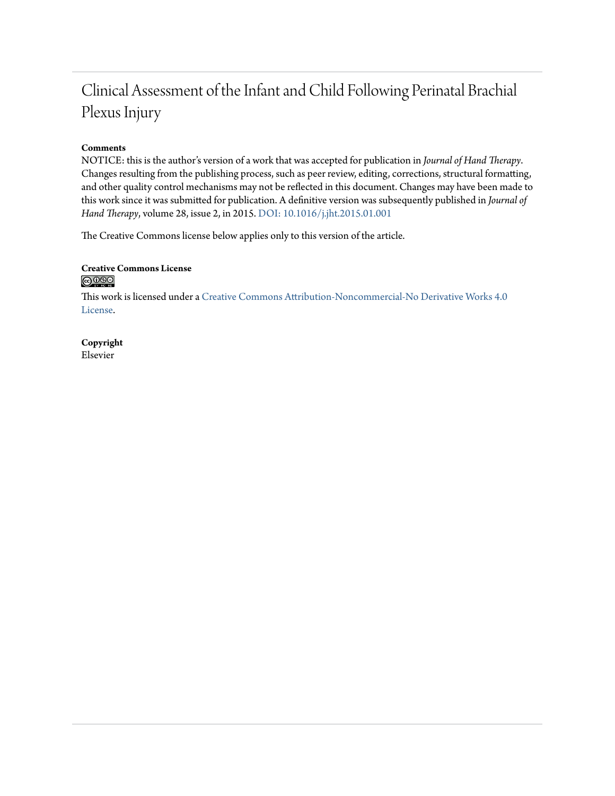# Clinical Assessment of the Infant and Child Following Perinatal Brachial Plexus Injury

# **Comments**

NOTICE: this is the author's version of a work that was accepted for publication in *Journal of Hand Therapy*. Changes resulting from the publishing process, such as peer review, editing, corrections, structural formatting, and other quality control mechanisms may not be reflected in this document. Changes may have been made to this work since it was submitted for publication. A definitive version was subsequently published in *Journal of Hand Therapy*, volume 28, issue 2, in 2015. [DOI: 10.1016/j.jht.2015.01.001](https://doi.org/10.1016/j.jht.2015.01.001)

The Creative Commons license below applies only to this version of the article.

# **Creative Commons License**  $\bigcirc$   $\circ$

This work is licensed under a [Creative Commons Attribution-Noncommercial-No Derivative Works 4.0](https://creativecommons.org/licenses/by-nc-nd/4.0/) [License.](https://creativecommons.org/licenses/by-nc-nd/4.0/)

**Copyright** Elsevier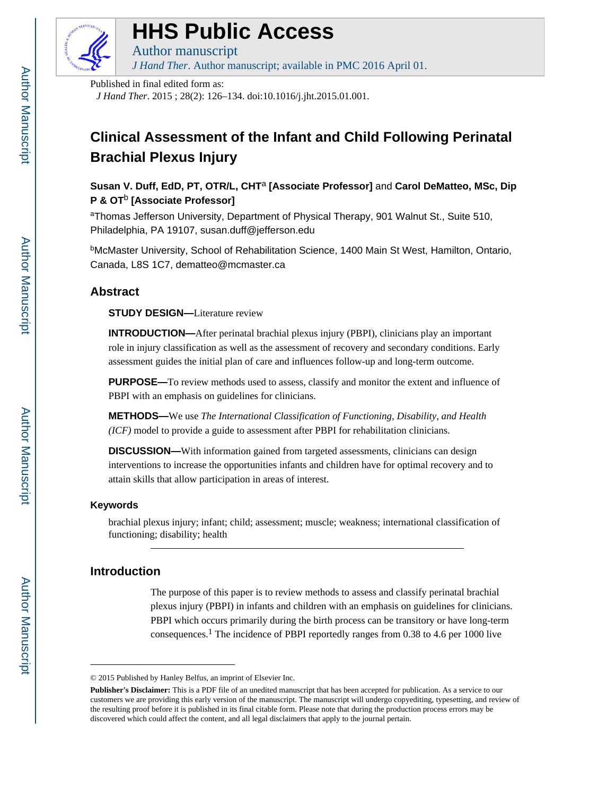

# **HHS Public Access**

Author manuscript *J Hand Ther*. Author manuscript; available in PMC 2016 April 01.

Published in final edited form as:

*J Hand Ther*. 2015 ; 28(2): 126–134. doi:10.1016/j.jht.2015.01.001.

# **Clinical Assessment of the Infant and Child Following Perinatal Brachial Plexus Injury**

**Susan V. Duff, EdD, PT, OTR/L, CHT**a **[Associate Professor]** and **Carol DeMatteo, MSc, Dip P & OT**b **[Associate Professor]**

aThomas Jefferson University, Department of Physical Therapy, 901 Walnut St., Suite 510, Philadelphia, PA 19107, susan.duff@jefferson.edu

<sup>b</sup>McMaster University, School of Rehabilitation Science, 1400 Main St West, Hamilton, Ontario, Canada, L8S 1C7, dematteo@mcmaster.ca

# **Abstract**

**STUDY DESIGN—**Literature review

**INTRODUCTION—**After perinatal brachial plexus injury (PBPI), clinicians play an important role in injury classification as well as the assessment of recovery and secondary conditions. Early assessment guides the initial plan of care and influences follow-up and long-term outcome.

**PURPOSE—**To review methods used to assess, classify and monitor the extent and influence of PBPI with an emphasis on guidelines for clinicians.

**METHODS—**We use *The International Classification of Functioning, Disability, and Health (ICF)* model to provide a guide to assessment after PBPI for rehabilitation clinicians.

**DISCUSSION—**With information gained from targeted assessments, clinicians can design interventions to increase the opportunities infants and children have for optimal recovery and to attain skills that allow participation in areas of interest.

# **Keywords**

brachial plexus injury; infant; child; assessment; muscle; weakness; international classification of functioning; disability; health

# **Introduction**

The purpose of this paper is to review methods to assess and classify perinatal brachial plexus injury (PBPI) in infants and children with an emphasis on guidelines for clinicians. PBPI which occurs primarily during the birth process can be transitory or have long-term consequences.<sup>1</sup> The incidence of PBPI reportedly ranges from 0.38 to 4.6 per 1000 live

<sup>© 2015</sup> Published by Hanley Belfus, an imprint of Elsevier Inc.

**Publisher's Disclaimer:** This is a PDF file of an unedited manuscript that has been accepted for publication. As a service to our customers we are providing this early version of the manuscript. The manuscript will undergo copyediting, typesetting, and review of the resulting proof before it is published in its final citable form. Please note that during the production process errors may be discovered which could affect the content, and all legal disclaimers that apply to the journal pertain.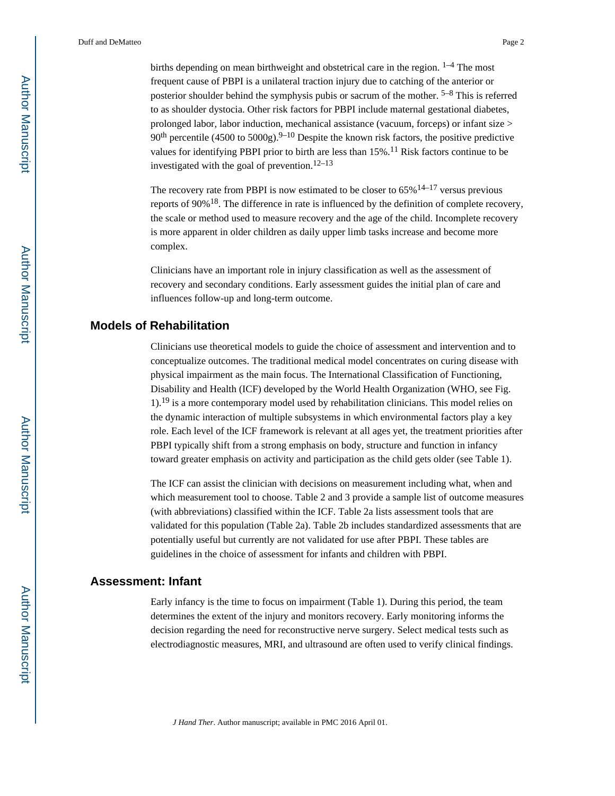births depending on mean birthweight and obstetrical care in the region.  $1-4$  The most frequent cause of PBPI is a unilateral traction injury due to catching of the anterior or posterior shoulder behind the symphysis pubis or sacrum of the mother. <sup>5–8</sup> This is referred to as shoulder dystocia. Other risk factors for PBPI include maternal gestational diabetes, prolonged labor, labor induction, mechanical assistance (vacuum, forceps) or infant size > 90<sup>th</sup> percentile (4500 to 5000g).<sup>9–10</sup> Despite the known risk factors, the positive predictive values for identifying PBPI prior to birth are less than  $15\%$ .<sup>11</sup> Risk factors continue to be investigated with the goal of prevention.<sup>12–13</sup>

The recovery rate from PBPI is now estimated to be closer to  $65\%$ <sup>14–17</sup> versus previous reports of 90%18. The difference in rate is influenced by the definition of complete recovery, the scale or method used to measure recovery and the age of the child. Incomplete recovery is more apparent in older children as daily upper limb tasks increase and become more complex.

Clinicians have an important role in injury classification as well as the assessment of recovery and secondary conditions. Early assessment guides the initial plan of care and influences follow-up and long-term outcome.

# **Models of Rehabilitation**

Clinicians use theoretical models to guide the choice of assessment and intervention and to conceptualize outcomes. The traditional medical model concentrates on curing disease with physical impairment as the main focus. The International Classification of Functioning, Disability and Health (ICF) developed by the World Health Organization (WHO, see Fig. 1).19 is a more contemporary model used by rehabilitation clinicians. This model relies on the dynamic interaction of multiple subsystems in which environmental factors play a key role. Each level of the ICF framework is relevant at all ages yet, the treatment priorities after PBPI typically shift from a strong emphasis on body, structure and function in infancy toward greater emphasis on activity and participation as the child gets older (see Table 1).

The ICF can assist the clinician with decisions on measurement including what, when and which measurement tool to choose. Table 2 and 3 provide a sample list of outcome measures (with abbreviations) classified within the ICF. Table 2a lists assessment tools that are validated for this population (Table 2a). Table 2b includes standardized assessments that are potentially useful but currently are not validated for use after PBPI. These tables are guidelines in the choice of assessment for infants and children with PBPI.

### **Assessment: Infant**

Early infancy is the time to focus on impairment (Table 1). During this period, the team determines the extent of the injury and monitors recovery. Early monitoring informs the decision regarding the need for reconstructive nerve surgery. Select medical tests such as electrodiagnostic measures, MRI, and ultrasound are often used to verify clinical findings.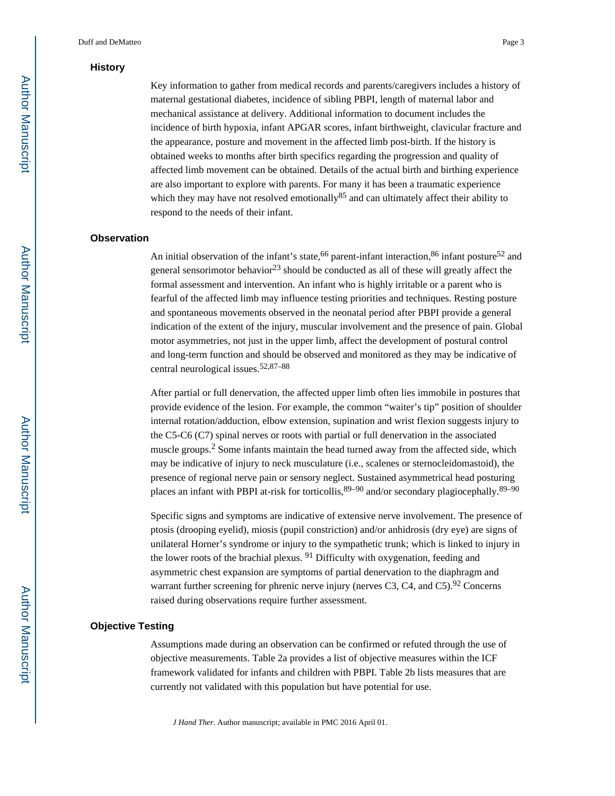#### **History**

Key information to gather from medical records and parents/caregivers includes a history of maternal gestational diabetes, incidence of sibling PBPI, length of maternal labor and mechanical assistance at delivery. Additional information to document includes the incidence of birth hypoxia, infant APGAR scores, infant birthweight, clavicular fracture and the appearance, posture and movement in the affected limb post-birth. If the history is obtained weeks to months after birth specifics regarding the progression and quality of affected limb movement can be obtained. Details of the actual birth and birthing experience are also important to explore with parents. For many it has been a traumatic experience which they may have not resolved emotionally  $85$  and can ultimately affect their ability to respond to the needs of their infant.

#### **Observation**

An initial observation of the infant's state,  $66$  parent-infant interaction,  $86$  infant posture  $52$  and general sensorimotor behavior<sup>23</sup> should be conducted as all of these will greatly affect the formal assessment and intervention. An infant who is highly irritable or a parent who is fearful of the affected limb may influence testing priorities and techniques. Resting posture and spontaneous movements observed in the neonatal period after PBPI provide a general indication of the extent of the injury, muscular involvement and the presence of pain. Global motor asymmetries, not just in the upper limb, affect the development of postural control and long-term function and should be observed and monitored as they may be indicative of central neurological issues.52,87–88

After partial or full denervation, the affected upper limb often lies immobile in postures that provide evidence of the lesion. For example, the common "waiter's tip" position of shoulder internal rotation/adduction, elbow extension, supination and wrist flexion suggests injury to the C5-C6 (C7) spinal nerves or roots with partial or full denervation in the associated muscle groups.<sup>2</sup> Some infants maintain the head turned away from the affected side, which may be indicative of injury to neck musculature (i.e., scalenes or sternocleidomastoid), the presence of regional nerve pain or sensory neglect. Sustained asymmetrical head posturing places an infant with PBPI at-risk for torticollis,  $89-90$  and/or secondary plagiocephally.  $89-90$ 

Specific signs and symptoms are indicative of extensive nerve involvement. The presence of ptosis (drooping eyelid), miosis (pupil constriction) and/or anhidrosis (dry eye) are signs of unilateral Horner's syndrome or injury to the sympathetic trunk; which is linked to injury in the lower roots of the brachial plexus. <sup>91</sup> Difficulty with oxygenation, feeding and asymmetric chest expansion are symptoms of partial denervation to the diaphragm and warrant further screening for phrenic nerve injury (nerves C3, C4, and C5).<sup>92</sup> Concerns raised during observations require further assessment.

#### **Objective Testing**

Assumptions made during an observation can be confirmed or refuted through the use of objective measurements. Table 2a provides a list of objective measures within the ICF framework validated for infants and children with PBPI. Table 2b lists measures that are currently not validated with this population but have potential for use.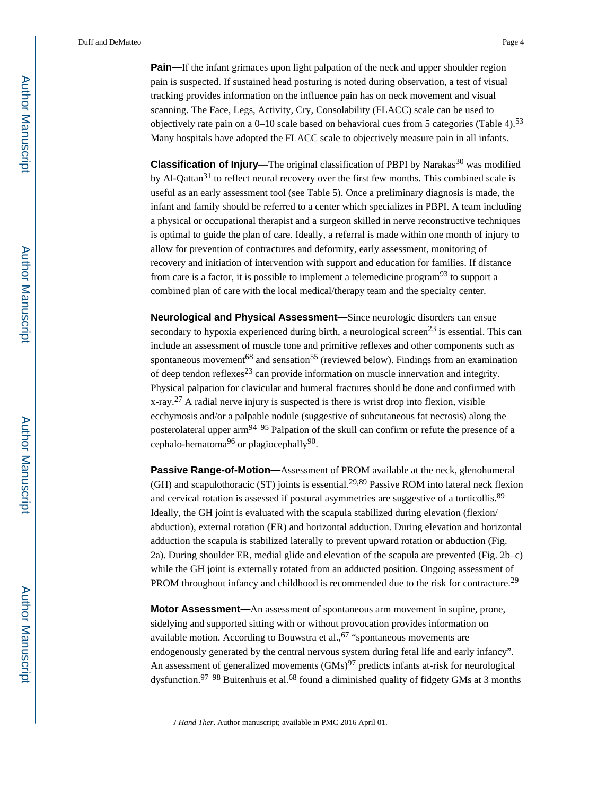**Pain—If** the infant grimaces upon light palpation of the neck and upper shoulder region pain is suspected. If sustained head posturing is noted during observation, a test of visual tracking provides information on the influence pain has on neck movement and visual scanning. The Face, Legs, Activity, Cry, Consolability (FLACC) scale can be used to objectively rate pain on a  $0-10$  scale based on behavioral cues from 5 categories (Table 4).<sup>53</sup> Many hospitals have adopted the FLACC scale to objectively measure pain in all infants.

**Classification of Injury—**The original classification of PBPI by Narakas<sup>30</sup> was modified by Al-Qattan<sup>31</sup> to reflect neural recovery over the first few months. This combined scale is useful as an early assessment tool (see Table 5). Once a preliminary diagnosis is made, the infant and family should be referred to a center which specializes in PBPI. A team including a physical or occupational therapist and a surgeon skilled in nerve reconstructive techniques is optimal to guide the plan of care. Ideally, a referral is made within one month of injury to allow for prevention of contractures and deformity, early assessment, monitoring of recovery and initiation of intervention with support and education for families. If distance from care is a factor, it is possible to implement a telemedicine program $93$  to support a combined plan of care with the local medical/therapy team and the specialty center.

**Neurological and Physical Assessment—**Since neurologic disorders can ensue secondary to hypoxia experienced during birth, a neurological screen<sup>23</sup> is essential. This can include an assessment of muscle tone and primitive reflexes and other components such as spontaneous movement<sup>68</sup> and sensation<sup>55</sup> (reviewed below). Findings from an examination of deep tendon reflexes<sup>23</sup> can provide information on muscle innervation and integrity. Physical palpation for clavicular and humeral fractures should be done and confirmed with  $x-ray<sup>27</sup>$  A radial nerve injury is suspected is there is wrist drop into flexion, visible ecchymosis and/or a palpable nodule (suggestive of subcutaneous fat necrosis) along the posterolateral upper arm<sup>94–95</sup> Palpation of the skull can confirm or refute the presence of a cephalo-hematoma<sup>96</sup> or plagiocephally<sup>90</sup>.

**Passive Range-of-Motion—**Assessment of PROM available at the neck, glenohumeral (GH) and scapulothoracic (ST) joints is essential.<sup>29,89</sup> Passive ROM into lateral neck flexion and cervical rotation is assessed if postural asymmetries are suggestive of a torticollis.<sup>89</sup> Ideally, the GH joint is evaluated with the scapula stabilized during elevation (flexion/ abduction), external rotation (ER) and horizontal adduction. During elevation and horizontal adduction the scapula is stabilized laterally to prevent upward rotation or abduction (Fig. 2a). During shoulder ER, medial glide and elevation of the scapula are prevented (Fig. 2b–c) while the GH joint is externally rotated from an adducted position. Ongoing assessment of PROM throughout infancy and childhood is recommended due to the risk for contracture.<sup>29</sup>

**Motor Assessment—**An assessment of spontaneous arm movement in supine, prone, sidelying and supported sitting with or without provocation provides information on available motion. According to Bouwstra et al.,  $67$  "spontaneous movements are endogenously generated by the central nervous system during fetal life and early infancy". An assessment of generalized movements  $(GMs)^{97}$  predicts infants at-risk for neurological dysfunction.<sup>97–98</sup> Buitenhuis et al.<sup>68</sup> found a diminished quality of fidgety GMs at 3 months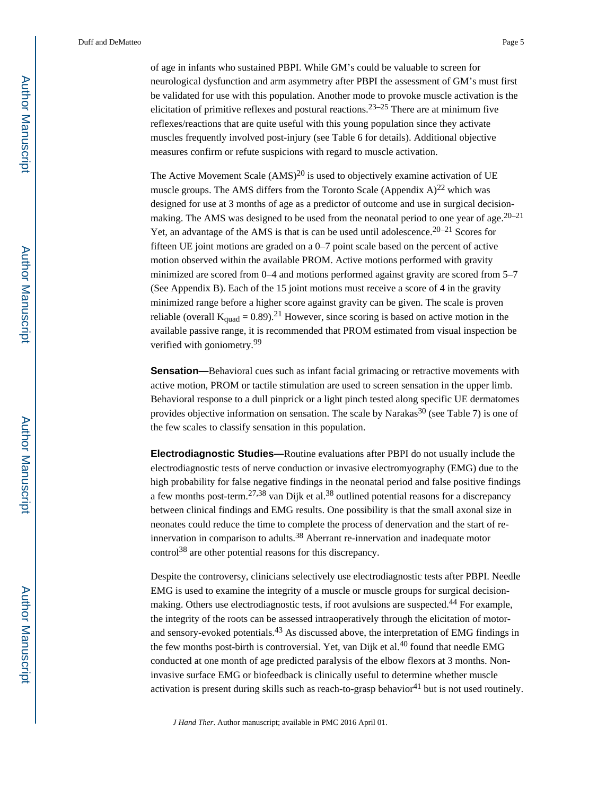of age in infants who sustained PBPI. While GM's could be valuable to screen for neurological dysfunction and arm asymmetry after PBPI the assessment of GM's must first be validated for use with this population. Another mode to provoke muscle activation is the elicitation of primitive reflexes and postural reactions.<sup>23–25</sup> There are at minimum five reflexes/reactions that are quite useful with this young population since they activate muscles frequently involved post-injury (see Table 6 for details). Additional objective measures confirm or refute suspicions with regard to muscle activation.

The Active Movement Scale  $(AMS)^{20}$  is used to objectively examine activation of UE muscle groups. The AMS differs from the Toronto Scale (Appendix  $A$ )<sup>22</sup> which was designed for use at 3 months of age as a predictor of outcome and use in surgical decisionmaking. The AMS was designed to be used from the neonatal period to one year of age.<sup>20–21</sup> Yet, an advantage of the AMS is that is can be used until adolescence.<sup>20–21</sup> Scores for fifteen UE joint motions are graded on a 0–7 point scale based on the percent of active motion observed within the available PROM. Active motions performed with gravity minimized are scored from 0–4 and motions performed against gravity are scored from 5–7 (See Appendix B). Each of the 15 joint motions must receive a score of 4 in the gravity minimized range before a higher score against gravity can be given. The scale is proven reliable (overall  $K_{quad} = 0.89$ ).<sup>21</sup> However, since scoring is based on active motion in the available passive range, it is recommended that PROM estimated from visual inspection be verified with goniometry.<sup>99</sup>

**Sensation—**Behavioral cues such as infant facial grimacing or retractive movements with active motion, PROM or tactile stimulation are used to screen sensation in the upper limb. Behavioral response to a dull pinprick or a light pinch tested along specific UE dermatomes provides objective information on sensation. The scale by Narakas<sup>30</sup> (see Table 7) is one of the few scales to classify sensation in this population.

**Electrodiagnostic Studies—**Routine evaluations after PBPI do not usually include the electrodiagnostic tests of nerve conduction or invasive electromyography (EMG) due to the high probability for false negative findings in the neonatal period and false positive findings a few months post-term.<sup>27,38</sup> van Dijk et al.<sup>38</sup> outlined potential reasons for a discrepancy between clinical findings and EMG results. One possibility is that the small axonal size in neonates could reduce the time to complete the process of denervation and the start of reinnervation in comparison to adults.38 Aberrant re-innervation and inadequate motor control38 are other potential reasons for this discrepancy.

Despite the controversy, clinicians selectively use electrodiagnostic tests after PBPI. Needle EMG is used to examine the integrity of a muscle or muscle groups for surgical decisionmaking. Others use electrodiagnostic tests, if root avulsions are suspected.<sup>44</sup> For example, the integrity of the roots can be assessed intraoperatively through the elicitation of motorand sensory-evoked potentials.<sup>43</sup> As discussed above, the interpretation of EMG findings in the few months post-birth is controversial. Yet, van Dijk et al.<sup>40</sup> found that needle EMG conducted at one month of age predicted paralysis of the elbow flexors at 3 months. Noninvasive surface EMG or biofeedback is clinically useful to determine whether muscle activation is present during skills such as reach-to-grasp behavior $41$  but is not used routinely.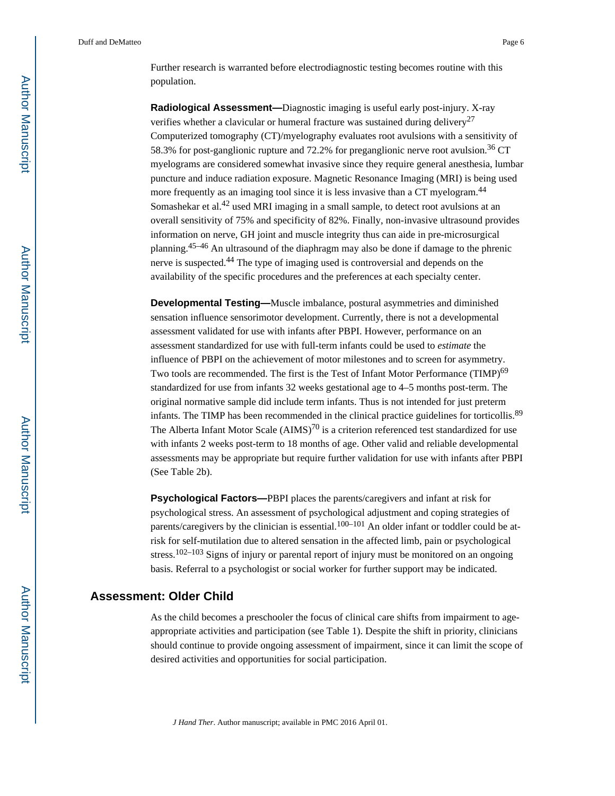Further research is warranted before electrodiagnostic testing becomes routine with this population.

**Radiological Assessment—**Diagnostic imaging is useful early post-injury. X-ray verifies whether a clavicular or humeral fracture was sustained during delivery<sup>27</sup> Computerized tomography (CT)/myelography evaluates root avulsions with a sensitivity of 58.3% for post-ganglionic rupture and 72.2% for preganglionic nerve root avulsion.<sup>36</sup> CT myelograms are considered somewhat invasive since they require general anesthesia, lumbar puncture and induce radiation exposure. Magnetic Resonance Imaging (MRI) is being used more frequently as an imaging tool since it is less invasive than a CT myelogram.<sup>44</sup> Somashekar et al.<sup>42</sup> used MRI imaging in a small sample, to detect root avulsions at an overall sensitivity of 75% and specificity of 82%. Finally, non-invasive ultrasound provides information on nerve, GH joint and muscle integrity thus can aide in pre-microsurgical planning.45–46 An ultrasound of the diaphragm may also be done if damage to the phrenic nerve is suspected.44 The type of imaging used is controversial and depends on the availability of the specific procedures and the preferences at each specialty center.

**Developmental Testing—**Muscle imbalance, postural asymmetries and diminished sensation influence sensorimotor development. Currently, there is not a developmental assessment validated for use with infants after PBPI. However, performance on an assessment standardized for use with full-term infants could be used to *estimate* the influence of PBPI on the achievement of motor milestones and to screen for asymmetry. Two tools are recommended. The first is the Test of Infant Motor Performance (TIMP)<sup>69</sup> standardized for use from infants 32 weeks gestational age to 4–5 months post-term. The original normative sample did include term infants. Thus is not intended for just preterm infants. The TIMP has been recommended in the clinical practice guidelines for torticollis.<sup>89</sup> The Alberta Infant Motor Scale  $(AIMS)^{70}$  is a criterion referenced test standardized for use with infants 2 weeks post-term to 18 months of age. Other valid and reliable developmental assessments may be appropriate but require further validation for use with infants after PBPI (See Table 2b).

**Psychological Factors—**PBPI places the parents/caregivers and infant at risk for psychological stress. An assessment of psychological adjustment and coping strategies of parents/caregivers by the clinician is essential.<sup>100–101</sup> An older infant or toddler could be atrisk for self-mutilation due to altered sensation in the affected limb, pain or psychological stress.<sup>102–103</sup> Signs of injury or parental report of injury must be monitored on an ongoing basis. Referral to a psychologist or social worker for further support may be indicated.

# **Assessment: Older Child**

As the child becomes a preschooler the focus of clinical care shifts from impairment to ageappropriate activities and participation (see Table 1). Despite the shift in priority, clinicians should continue to provide ongoing assessment of impairment, since it can limit the scope of desired activities and opportunities for social participation.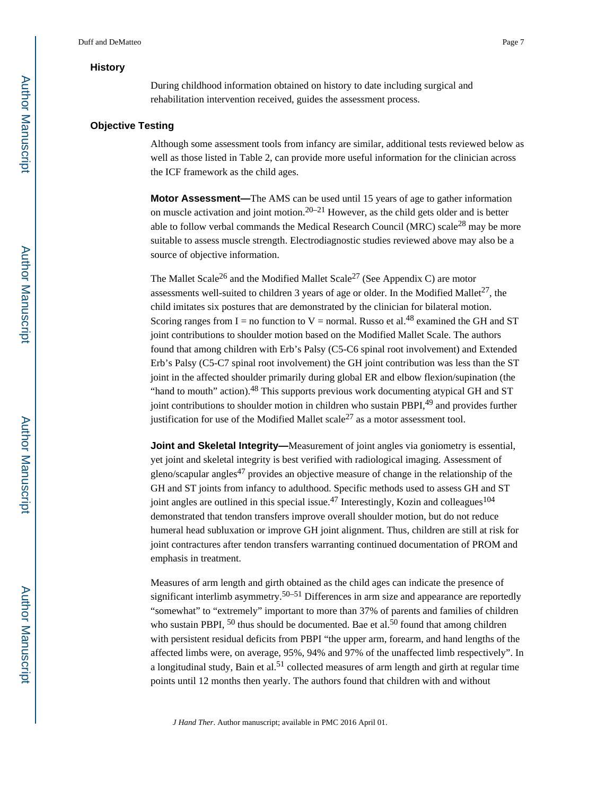#### **History**

During childhood information obtained on history to date including surgical and rehabilitation intervention received, guides the assessment process.

#### **Objective Testing**

Although some assessment tools from infancy are similar, additional tests reviewed below as well as those listed in Table 2, can provide more useful information for the clinician across the ICF framework as the child ages.

**Motor Assessment—**The AMS can be used until 15 years of age to gather information on muscle activation and joint motion.<sup>20–21</sup> However, as the child gets older and is better able to follow verbal commands the Medical Research Council (MRC) scale28 may be more suitable to assess muscle strength. Electrodiagnostic studies reviewed above may also be a source of objective information.

The Mallet Scale<sup>26</sup> and the Modified Mallet Scale<sup>27</sup> (See Appendix C) are motor assessments well-suited to children 3 years of age or older. In the Modified Mallet<sup>27</sup>, the child imitates six postures that are demonstrated by the clinician for bilateral motion. Scoring ranges from  $I =$  no function to  $V =$  normal. Russo et al.<sup>48</sup> examined the GH and ST joint contributions to shoulder motion based on the Modified Mallet Scale. The authors found that among children with Erb's Palsy (C5-C6 spinal root involvement) and Extended Erb's Palsy (C5-C7 spinal root involvement) the GH joint contribution was less than the ST joint in the affected shoulder primarily during global ER and elbow flexion/supination (the "hand to mouth" action).<sup>48</sup> This supports previous work documenting atypical GH and ST joint contributions to shoulder motion in children who sustain PBPI,<sup>49</sup> and provides further justification for use of the Modified Mallet scale<sup>27</sup> as a motor assessment tool.

**Joint and Skeletal Integrity—**Measurement of joint angles via goniometry is essential, yet joint and skeletal integrity is best verified with radiological imaging. Assessment of gleno/scapular angles $^{47}$  provides an objective measure of change in the relationship of the GH and ST joints from infancy to adulthood. Specific methods used to assess GH and ST joint angles are outlined in this special issue.<sup>47</sup> Interestingly, Kozin and colleagues<sup>104</sup> demonstrated that tendon transfers improve overall shoulder motion, but do not reduce humeral head subluxation or improve GH joint alignment. Thus, children are still at risk for joint contractures after tendon transfers warranting continued documentation of PROM and emphasis in treatment.

Measures of arm length and girth obtained as the child ages can indicate the presence of significant interlimb asymmetry.<sup>50–51</sup> Differences in arm size and appearance are reportedly "somewhat" to "extremely" important to more than 37% of parents and families of children who sustain PBPI, <sup>50</sup> thus should be documented. Bae et al.<sup>50</sup> found that among children with persistent residual deficits from PBPI "the upper arm, forearm, and hand lengths of the affected limbs were, on average, 95%, 94% and 97% of the unaffected limb respectively". In a longitudinal study, Bain et al.<sup>51</sup> collected measures of arm length and girth at regular time points until 12 months then yearly. The authors found that children with and without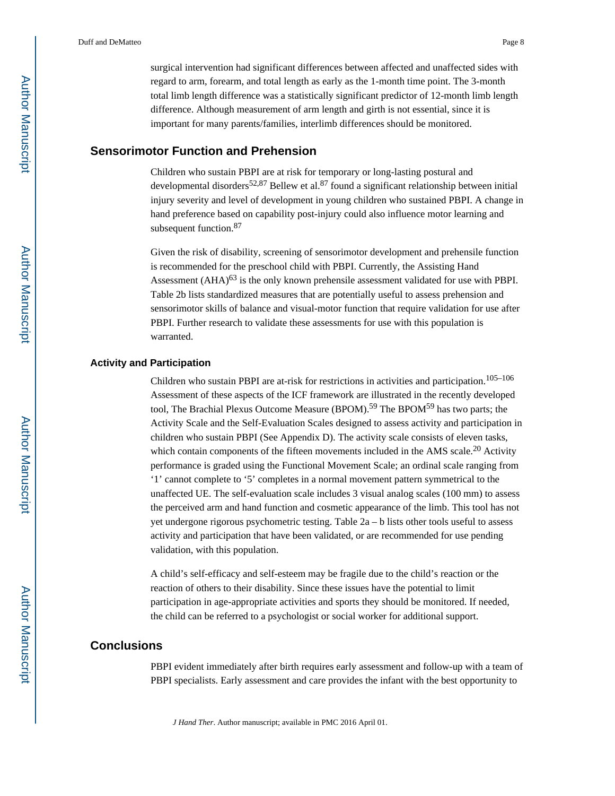surgical intervention had significant differences between affected and unaffected sides with regard to arm, forearm, and total length as early as the 1-month time point. The 3-month total limb length difference was a statistically significant predictor of 12-month limb length difference. Although measurement of arm length and girth is not essential, since it is important for many parents/families, interlimb differences should be monitored.

## **Sensorimotor Function and Prehension**

Children who sustain PBPI are at risk for temporary or long-lasting postural and developmental disorders<sup>52,87</sup> Bellew et al.<sup>87</sup> found a significant relationship between initial injury severity and level of development in young children who sustained PBPI. A change in hand preference based on capability post-injury could also influence motor learning and subsequent function.<sup>87</sup>

Given the risk of disability, screening of sensorimotor development and prehensile function is recommended for the preschool child with PBPI. Currently, the Assisting Hand Assessment  $(AHA)^{63}$  is the only known prehensile assessment validated for use with PBPI. Table 2b lists standardized measures that are potentially useful to assess prehension and sensorimotor skills of balance and visual-motor function that require validation for use after PBPI. Further research to validate these assessments for use with this population is warranted.

#### **Activity and Participation**

Children who sustain PBPI are at-risk for restrictions in activities and participation.<sup>105–106</sup> Assessment of these aspects of the ICF framework are illustrated in the recently developed tool, The Brachial Plexus Outcome Measure (BPOM).<sup>59</sup> The BPOM<sup>59</sup> has two parts; the Activity Scale and the Self-Evaluation Scales designed to assess activity and participation in children who sustain PBPI (See Appendix D). The activity scale consists of eleven tasks, which contain components of the fifteen movements included in the AMS scale.<sup>20</sup> Activity performance is graded using the Functional Movement Scale; an ordinal scale ranging from '1' cannot complete to '5' completes in a normal movement pattern symmetrical to the unaffected UE. The self-evaluation scale includes 3 visual analog scales (100 mm) to assess the perceived arm and hand function and cosmetic appearance of the limb. This tool has not yet undergone rigorous psychometric testing. Table 2a – b lists other tools useful to assess activity and participation that have been validated, or are recommended for use pending validation, with this population.

A child's self-efficacy and self-esteem may be fragile due to the child's reaction or the reaction of others to their disability. Since these issues have the potential to limit participation in age-appropriate activities and sports they should be monitored. If needed, the child can be referred to a psychologist or social worker for additional support.

# **Conclusions**

PBPI evident immediately after birth requires early assessment and follow-up with a team of PBPI specialists. Early assessment and care provides the infant with the best opportunity to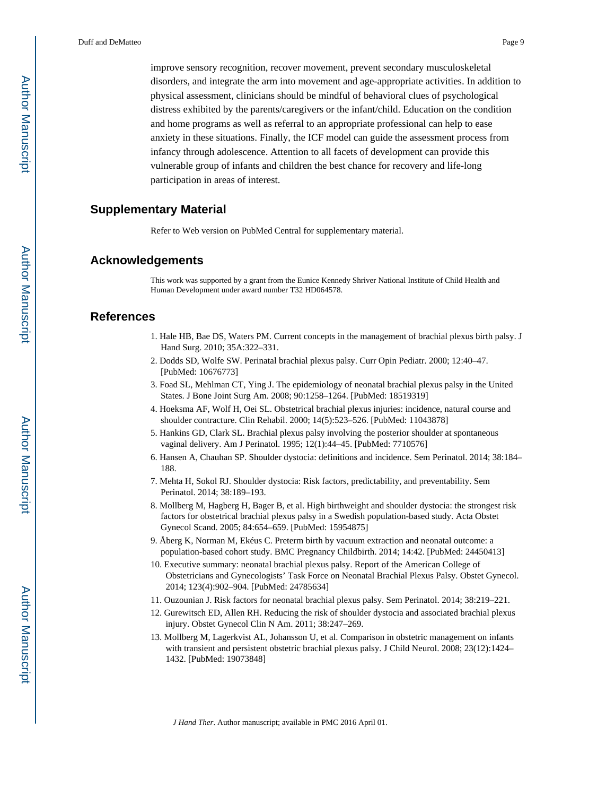improve sensory recognition, recover movement, prevent secondary musculoskeletal disorders, and integrate the arm into movement and age-appropriate activities. In addition to physical assessment, clinicians should be mindful of behavioral clues of psychological distress exhibited by the parents/caregivers or the infant/child. Education on the condition and home programs as well as referral to an appropriate professional can help to ease anxiety in these situations. Finally, the ICF model can guide the assessment process from infancy through adolescence. Attention to all facets of development can provide this vulnerable group of infants and children the best chance for recovery and life-long participation in areas of interest.

# **Supplementary Material**

Refer to Web version on PubMed Central for supplementary material.

### **Acknowledgements**

This work was supported by a grant from the Eunice Kennedy Shriver National Institute of Child Health and Human Development under award number T32 HD064578.

#### **References**

- 1. Hale HB, Bae DS, Waters PM. Current concepts in the management of brachial plexus birth palsy. J Hand Surg. 2010; 35A:322–331.
- 2. Dodds SD, Wolfe SW. Perinatal brachial plexus palsy. Curr Opin Pediatr. 2000; 12:40–47. [PubMed: 10676773]
- 3. Foad SL, Mehlman CT, Ying J. The epidemiology of neonatal brachial plexus palsy in the United States. J Bone Joint Surg Am. 2008; 90:1258–1264. [PubMed: 18519319]
- 4. Hoeksma AF, Wolf H, Oei SL. Obstetrical brachial plexus injuries: incidence, natural course and shoulder contracture. Clin Rehabil. 2000; 14(5):523–526. [PubMed: 11043878]
- 5. Hankins GD, Clark SL. Brachial plexus palsy involving the posterior shoulder at spontaneous vaginal delivery. Am J Perinatol. 1995; 12(1):44–45. [PubMed: 7710576]
- 6. Hansen A, Chauhan SP. Shoulder dystocia: definitions and incidence. Sem Perinatol. 2014; 38:184– 188.
- 7. Mehta H, Sokol RJ. Shoulder dystocia: Risk factors, predictability, and preventability. Sem Perinatol. 2014; 38:189–193.
- 8. Mollberg M, Hagberg H, Bager B, et al. High birthweight and shoulder dystocia: the strongest risk factors for obstetrical brachial plexus palsy in a Swedish population-based study. Acta Obstet Gynecol Scand. 2005; 84:654–659. [PubMed: 15954875]
- 9. Åberg K, Norman M, Ekéus C. Preterm birth by vacuum extraction and neonatal outcome: a population-based cohort study. BMC Pregnancy Childbirth. 2014; 14:42. [PubMed: 24450413]
- 10. Executive summary: neonatal brachial plexus palsy. Report of the American College of Obstetricians and Gynecologists' Task Force on Neonatal Brachial Plexus Palsy. Obstet Gynecol. 2014; 123(4):902–904. [PubMed: 24785634]
- 11. Ouzounian J. Risk factors for neonatal brachial plexus palsy. Sem Perinatol. 2014; 38:219–221.
- 12. Gurewitsch ED, Allen RH. Reducing the risk of shoulder dystocia and associated brachial plexus injury. Obstet Gynecol Clin N Am. 2011; 38:247–269.
- 13. Mollberg M, Lagerkvist AL, Johansson U, et al. Comparison in obstetric management on infants with transient and persistent obstetric brachial plexus palsy. J Child Neurol. 2008; 23(12):1424– 1432. [PubMed: 19073848]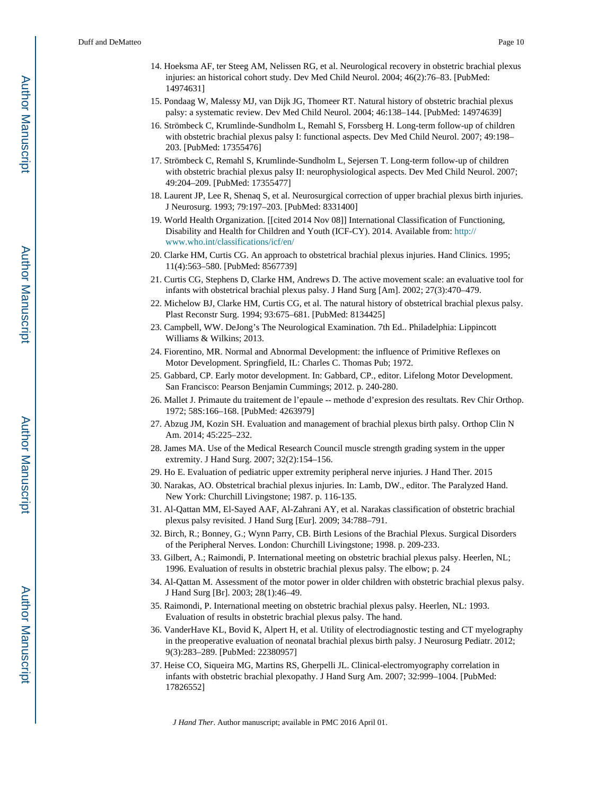- 14. Hoeksma AF, ter Steeg AM, Nelissen RG, et al. Neurological recovery in obstetric brachial plexus injuries: an historical cohort study. Dev Med Child Neurol. 2004; 46(2):76–83. [PubMed: 14974631]
- 15. Pondaag W, Malessy MJ, van Dijk JG, Thomeer RT. Natural history of obstetric brachial plexus palsy: a systematic review. Dev Med Child Neurol. 2004; 46:138–144. [PubMed: 14974639]
- 16. Strömbeck C, Krumlinde-Sundholm L, Remahl S, Forssberg H. Long-term follow-up of children with obstetric brachial plexus palsy I: functional aspects. Dev Med Child Neurol. 2007; 49:198– 203. [PubMed: 17355476]
- 17. Strömbeck C, Remahl S, Krumlinde-Sundholm L, Sejersen T. Long-term follow-up of children with obstetric brachial plexus palsy II: neurophysiological aspects. Dev Med Child Neurol. 2007; 49:204–209. [PubMed: 17355477]
- 18. Laurent JP, Lee R, Shenaq S, et al. Neurosurgical correction of upper brachial plexus birth injuries. J Neurosurg. 1993; 79:197–203. [PubMed: 8331400]
- 19. World Health Organization. [[cited 2014 Nov 08]] International Classification of Functioning, Disability and Health for Children and Youth (ICF-CY). 2014. Available from: [http://](http://www.who.int/classifications/icf/en/) [www.who.int/classifications/icf/en/](http://www.who.int/classifications/icf/en/)
- 20. Clarke HM, Curtis CG. An approach to obstetrical brachial plexus injuries. Hand Clinics. 1995; 11(4):563–580. [PubMed: 8567739]
- 21. Curtis CG, Stephens D, Clarke HM, Andrews D. The active movement scale: an evaluative tool for infants with obstetrical brachial plexus palsy. J Hand Surg [Am]. 2002; 27(3):470–479.
- 22. Michelow BJ, Clarke HM, Curtis CG, et al. The natural history of obstetrical brachial plexus palsy. Plast Reconstr Surg. 1994; 93:675–681. [PubMed: 8134425]
- 23. Campbell, WW. DeJong's The Neurological Examination. 7th Ed.. Philadelphia: Lippincott Williams & Wilkins; 2013.
- 24. Fiorentino, MR. Normal and Abnormal Development: the influence of Primitive Reflexes on Motor Development. Springfield, IL: Charles C. Thomas Pub; 1972.
- 25. Gabbard, CP. Early motor development. In: Gabbard, CP., editor. Lifelong Motor Development. San Francisco: Pearson Benjamin Cummings; 2012. p. 240-280.
- 26. Mallet J. Primaute du traitement de l'epaule -- methode d'expresion des resultats. Rev Chir Orthop. 1972; 58S:166–168. [PubMed: 4263979]
- 27. Abzug JM, Kozin SH. Evaluation and management of brachial plexus birth palsy. Orthop Clin N Am. 2014; 45:225–232.
- 28. James MA. Use of the Medical Research Council muscle strength grading system in the upper extremity. J Hand Surg. 2007; 32(2):154–156.
- 29. Ho E. Evaluation of pediatric upper extremity peripheral nerve injuries. J Hand Ther. 2015
- 30. Narakas, AO. Obstetrical brachial plexus injuries. In: Lamb, DW., editor. The Paralyzed Hand. New York: Churchill Livingstone; 1987. p. 116-135.
- 31. Al-Qattan MM, El-Sayed AAF, Al-Zahrani AY, et al. Narakas classification of obstetric brachial plexus palsy revisited. J Hand Surg [Eur]. 2009; 34:788–791.
- 32. Birch, R.; Bonney, G.; Wynn Parry, CB. Birth Lesions of the Brachial Plexus. Surgical Disorders of the Peripheral Nerves. London: Churchill Livingstone; 1998. p. 209-233.
- 33. Gilbert, A.; Raimondi, P. International meeting on obstetric brachial plexus palsy. Heerlen, NL; 1996. Evaluation of results in obstetric brachial plexus palsy. The elbow; p. 24
- 34. Al-Qattan M. Assessment of the motor power in older children with obstetric brachial plexus palsy. J Hand Surg [Br]. 2003; 28(1):46–49.
- 35. Raimondi, P. International meeting on obstetric brachial plexus palsy. Heerlen, NL: 1993. Evaluation of results in obstetric brachial plexus palsy. The hand.
- 36. VanderHave KL, Bovid K, Alpert H, et al. Utility of electrodiagnostic testing and CT myelography in the preoperative evaluation of neonatal brachial plexus birth palsy. J Neurosurg Pediatr. 2012; 9(3):283–289. [PubMed: 22380957]
- 37. Heise CO, Siqueira MG, Martins RS, Gherpelli JL. Clinical-electromyography correlation in infants with obstetric brachial plexopathy. J Hand Surg Am. 2007; 32:999–1004. [PubMed: 17826552]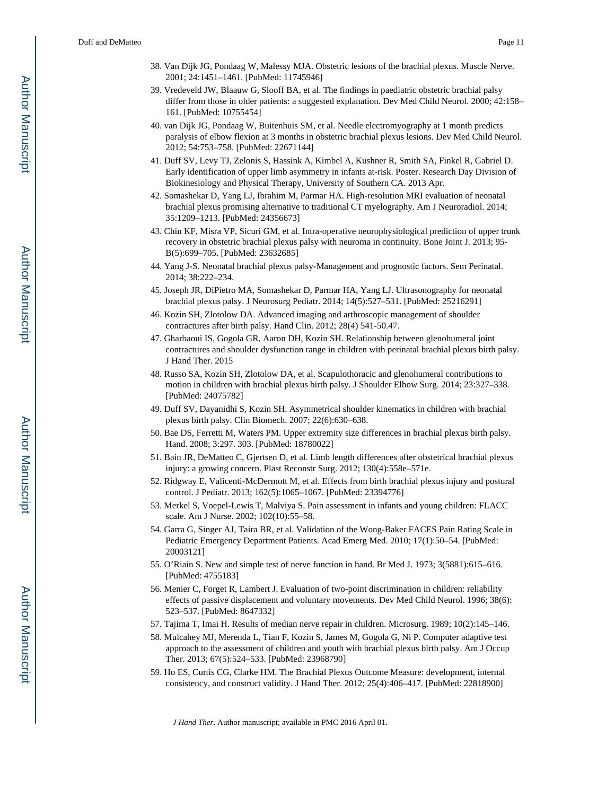- 38. Van Dijk JG, Pondaag W, Malessy MJA. Obstetric lesions of the brachial plexus. Muscle Nerve. 2001; 24:1451–1461. [PubMed: 11745946]
- 39. Vredeveld JW, Blaauw G, Slooff BA, et al. The findings in paediatric obstetric brachial palsy differ from those in older patients: a suggested explanation. Dev Med Child Neurol. 2000; 42:158– 161. [PubMed: 10755454]
- 40. van Dijk JG, Pondaag W, Buitenhuis SM, et al. Needle electromyography at 1 month predicts paralysis of elbow flexion at 3 months in obstetric brachial plexus lesions. Dev Med Child Neurol. 2012; 54:753–758. [PubMed: 22671144]
- 41. Duff SV, Levy TJ, Zelonis S, Hassink A, Kimbel A, Kushner R, Smith SA, Finkel R, Gabriel D. Early identification of upper limb asymmetry in infants at-risk. Poster. Research Day Division of Biokinesiology and Physical Therapy, University of Southern CA. 2013 Apr.
- 42. Somashekar D, Yang LJ, Ibrahim M, Parmar HA. High-resolution MRI evaluation of neonatal brachial plexus promising alternative to traditional CT myelography. Am J Neuroradiol. 2014; 35:1209–1213. [PubMed: 24356673]
- 43. Chin KF, Misra VP, Sicuri GM, et al. Intra-operative neurophysiological prediction of upper trunk recovery in obstetric brachial plexus palsy with neuroma in continuity. Bone Joint J. 2013; 95- B(5):699–705. [PubMed: 23632685]
- 44. Yang J-S. Neonatal brachial plexus palsy-Management and prognostic factors. Sem Perinatal. 2014; 38:222–234.
- 45. Joseph JR, DiPietro MA, Somashekar D, Parmar HA, Yang LJ. Ultrasonography for neonatal brachial plexus palsy. J Neurosurg Pediatr. 2014; 14(5):527–531. [PubMed: 25216291]
- 46. Kozin SH, Zlotolow DA. Advanced imaging and arthroscopic management of shoulder contractures after birth palsy. Hand Clin. 2012; 28(4) 541-50.47.
- 47. Gharbaoui IS, Gogola GR, Aaron DH, Kozin SH. Relationship between glenohumeral joint contractures and shoulder dysfunction range in children with perinatal brachial plexus birth palsy. J Hand Ther. 2015
- 48. Russo SA, Kozin SH, Zlotolow DA, et al. Scapulothoracic and glenohumeral contributions to motion in children with brachial plexus birth palsy. J Shoulder Elbow Surg. 2014; 23:327–338. [PubMed: 24075782]
- 49. Duff SV, Dayanidhi S, Kozin SH. Asymmetrical shoulder kinematics in children with brachial plexus birth palsy. Clin Biomech. 2007; 22(6):630–638.
- 50. Bae DS, Ferretti M, Waters PM. Upper extremity size differences in brachial plexus birth palsy. Hand. 2008; 3:297. 303. [PubMed: 18780022]
- 51. Bain JR, DeMatteo C, Gjertsen D, et al. Limb length differences after obstetrical brachial plexus injury: a growing concern. Plast Reconstr Surg. 2012; 130(4):558e–571e.
- 52. Ridgway E, Valicenti-McDermott M, et al. Effects from birth brachial plexus injury and postural control. J Pediatr. 2013; 162(5):1065–1067. [PubMed: 23394776]
- 53. Merkel S, Voepel-Lewis T, Malviya S. Pain assessment in infants and young children: FLACC scale. Am J Nurse. 2002; 102(10):55–58.
- 54. Garra G, Singer AJ, Taira BR, et al. Validation of the Wong-Baker FACES Pain Rating Scale in Pediatric Emergency Department Patients. Acad Emerg Med. 2010; 17(1):50–54. [PubMed: 20003121]
- 55. O'Riain S. New and simple test of nerve function in hand. Br Med J. 1973; 3(5881):615–616. [PubMed: 4755183]
- 56. Menier C, Forget R, Lambert J. Evaluation of two-point discrimination in children: reliability effects of passive displacement and voluntary movements. Dev Med Child Neurol. 1996; 38(6): 523–537. [PubMed: 8647332]
- 57. Tajima T, Imai H. Results of median nerve repair in children. Microsurg. 1989; 10(2):145–146.
- 58. Mulcahey MJ, Merenda L, Tian F, Kozin S, James M, Gogola G, Ni P. Computer adaptive test approach to the assessment of children and youth with brachial plexus birth palsy. Am J Occup Ther. 2013; 67(5):524–533. [PubMed: 23968790]
- 59. Ho ES, Curtis CG, Clarke HM. The Brachial Plexus Outcome Measure: development, internal consistency, and construct validity. J Hand Ther. 2012; 25(4):406–417. [PubMed: 22818900]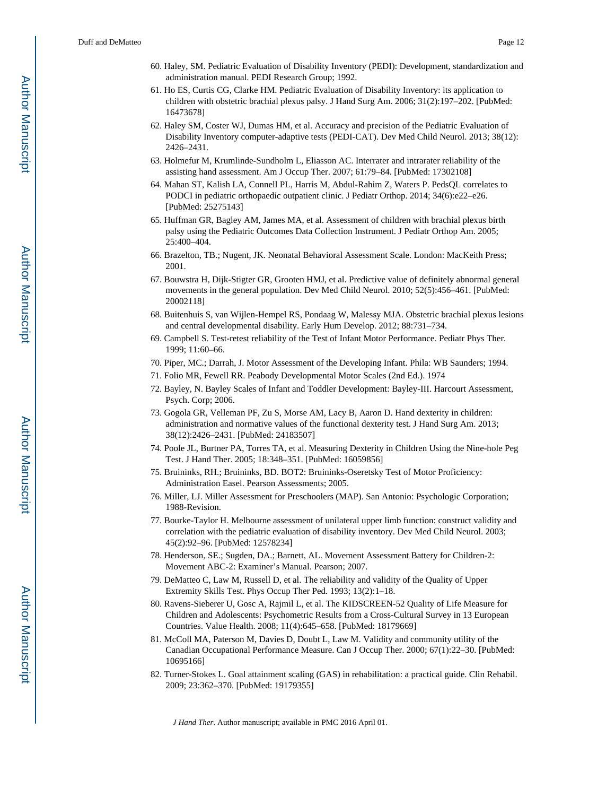- 60. Haley, SM. Pediatric Evaluation of Disability Inventory (PEDI): Development, standardization and administration manual. PEDI Research Group; 1992.
- 61. Ho ES, Curtis CG, Clarke HM. Pediatric Evaluation of Disability Inventory: its application to children with obstetric brachial plexus palsy. J Hand Surg Am. 2006; 31(2):197–202. [PubMed: 16473678]
- 62. Haley SM, Coster WJ, Dumas HM, et al. Accuracy and precision of the Pediatric Evaluation of Disability Inventory computer-adaptive tests (PEDI-CAT). Dev Med Child Neurol. 2013; 38(12): 2426–2431.
- 63. Holmefur M, Krumlinde-Sundholm L, Eliasson AC. Interrater and intrarater reliability of the assisting hand assessment. Am J Occup Ther. 2007; 61:79–84. [PubMed: 17302108]
- 64. Mahan ST, Kalish LA, Connell PL, Harris M, Abdul-Rahim Z, Waters P. PedsQL correlates to PODCI in pediatric orthopaedic outpatient clinic. J Pediatr Orthop. 2014; 34(6):e22–e26. [PubMed: 25275143]
- 65. Huffman GR, Bagley AM, James MA, et al. Assessment of children with brachial plexus birth palsy using the Pediatric Outcomes Data Collection Instrument. J Pediatr Orthop Am. 2005; 25:400–404.
- 66. Brazelton, TB.; Nugent, JK. Neonatal Behavioral Assessment Scale. London: MacKeith Press; 2001.
- 67. Bouwstra H, Dijk-Stigter GR, Grooten HMJ, et al. Predictive value of definitely abnormal general movements in the general population. Dev Med Child Neurol. 2010; 52(5):456–461. [PubMed: 20002118]
- 68. Buitenhuis S, van Wijlen-Hempel RS, Pondaag W, Malessy MJA. Obstetric brachial plexus lesions and central developmental disability. Early Hum Develop. 2012; 88:731–734.
- 69. Campbell S. Test-retest reliability of the Test of Infant Motor Performance. Pediatr Phys Ther. 1999; 11:60–66.
- 70. Piper, MC.; Darrah, J. Motor Assessment of the Developing Infant. Phila: WB Saunders; 1994.
- 71. Folio MR, Fewell RR. Peabody Developmental Motor Scales (2nd Ed.). 1974
- 72. Bayley, N. Bayley Scales of Infant and Toddler Development: Bayley-III. Harcourt Assessment, Psych. Corp; 2006.
- 73. Gogola GR, Velleman PF, Zu S, Morse AM, Lacy B, Aaron D. Hand dexterity in children: administration and normative values of the functional dexterity test. J Hand Surg Am. 2013; 38(12):2426–2431. [PubMed: 24183507]
- 74. Poole JL, Burtner PA, Torres TA, et al. Measuring Dexterity in Children Using the Nine-hole Peg Test. J Hand Ther. 2005; 18:348–351. [PubMed: 16059856]
- 75. Bruininks, RH.; Bruininks, BD. BOT2: Bruininks-Oseretsky Test of Motor Proficiency: Administration Easel. Pearson Assessments; 2005.
- 76. Miller, LJ. Miller Assessment for Preschoolers (MAP). San Antonio: Psychologic Corporation; 1988-Revision.
- 77. Bourke-Taylor H. Melbourne assessment of unilateral upper limb function: construct validity and correlation with the pediatric evaluation of disability inventory. Dev Med Child Neurol. 2003; 45(2):92–96. [PubMed: 12578234]
- 78. Henderson, SE.; Sugden, DA.; Barnett, AL. Movement Assessment Battery for Children-2: Movement ABC-2: Examiner's Manual. Pearson; 2007.
- 79. DeMatteo C, Law M, Russell D, et al. The reliability and validity of the Quality of Upper Extremity Skills Test. Phys Occup Ther Ped. 1993; 13(2):1–18.
- 80. Ravens-Sieberer U, Gosc A, Rajmil L, et al. The KIDSCREEN-52 Quality of Life Measure for Children and Adolescents: Psychometric Results from a Cross-Cultural Survey in 13 European Countries. Value Health. 2008; 11(4):645–658. [PubMed: 18179669]
- 81. McColl MA, Paterson M, Davies D, Doubt L, Law M. Validity and community utility of the Canadian Occupational Performance Measure. Can J Occup Ther. 2000; 67(1):22–30. [PubMed: 10695166]
- 82. Turner-Stokes L. Goal attainment scaling (GAS) in rehabilitation: a practical guide. Clin Rehabil. 2009; 23:362–370. [PubMed: 19179355]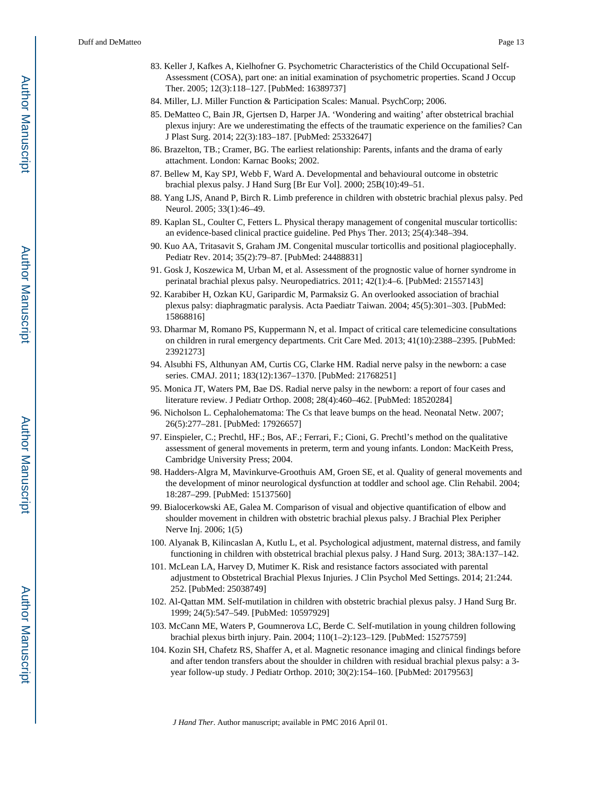- 83. Keller J, Kafkes A, Kielhofner G. Psychometric Characteristics of the Child Occupational Self-Assessment (COSA), part one: an initial examination of psychometric properties. Scand J Occup Ther. 2005; 12(3):118–127. [PubMed: 16389737]
- 84. Miller, LJ. Miller Function & Participation Scales: Manual. PsychCorp; 2006.
- 85. DeMatteo C, Bain JR, Gjertsen D, Harper JA. 'Wondering and waiting' after obstetrical brachial plexus injury: Are we underestimating the effects of the traumatic experience on the families? Can J Plast Surg. 2014; 22(3):183–187. [PubMed: 25332647]
- 86. Brazelton, TB.; Cramer, BG. The earliest relationship: Parents, infants and the drama of early attachment. London: Karnac Books; 2002.
- 87. Bellew M, Kay SPJ, Webb F, Ward A. Developmental and behavioural outcome in obstetric brachial plexus palsy. J Hand Surg [Br Eur Vol]. 2000; 25B(10):49–51.
- 88. Yang LJS, Anand P, Birch R. Limb preference in children with obstetric brachial plexus palsy. Ped Neurol. 2005; 33(1):46–49.
- 89. Kaplan SL, Coulter C, Fetters L. Physical therapy management of congenital muscular torticollis: an evidence-based clinical practice guideline. Ped Phys Ther. 2013; 25(4):348–394.
- 90. Kuo AA, Tritasavit S, Graham JM. Congenital muscular torticollis and positional plagiocephally. Pediatr Rev. 2014; 35(2):79–87. [PubMed: 24488831]
- 91. Gosk J, Koszewica M, Urban M, et al. Assessment of the prognostic value of horner syndrome in perinatal brachial plexus palsy. Neuropediatrics. 2011; 42(1):4–6. [PubMed: 21557143]
- 92. Karabiber H, Ozkan KU, Garipardic M, Parmaksiz G. An overlooked association of brachial plexus palsy: diaphragmatic paralysis. Acta Paediatr Taiwan. 2004; 45(5):301–303. [PubMed: 15868816]
- 93. Dharmar M, Romano PS, Kuppermann N, et al. Impact of critical care telemedicine consultations on children in rural emergency departments. Crit Care Med. 2013; 41(10):2388–2395. [PubMed: 23921273]
- 94. Alsubhi FS, Althunyan AM, Curtis CG, Clarke HM. Radial nerve palsy in the newborn: a case series. CMAJ. 2011; 183(12):1367–1370. [PubMed: 21768251]
- 95. Monica JT, Waters PM, Bae DS. Radial nerve palsy in the newborn: a report of four cases and literature review. J Pediatr Orthop. 2008; 28(4):460–462. [PubMed: 18520284]
- 96. Nicholson L. Cephalohematoma: The Cs that leave bumps on the head. Neonatal Netw. 2007; 26(5):277–281. [PubMed: 17926657]
- 97. Einspieler, C.; Prechtl, HF.; Bos, AF.; Ferrari, F.; Cioni, G. Prechtl's method on the qualitative assessment of general movements in preterm, term and young infants. London: MacKeith Press, Cambridge University Press; 2004.
- 98. Hadders-Algra M, Mavinkurve-Groothuis AM, Groen SE, et al. Quality of general movements and the development of minor neurological dysfunction at toddler and school age. Clin Rehabil. 2004; 18:287–299. [PubMed: 15137560]
- 99. Bialocerkowski AE, Galea M. Comparison of visual and objective quantification of elbow and shoulder movement in children with obstetric brachial plexus palsy. J Brachial Plex Peripher Nerve Inj. 2006; 1(5)
- 100. Alyanak B, Kilincaslan A, Kutlu L, et al. Psychological adjustment, maternal distress, and family functioning in children with obstetrical brachial plexus palsy. J Hand Surg. 2013; 38A:137–142.
- 101. McLean LA, Harvey D, Mutimer K. Risk and resistance factors associated with parental adjustment to Obstetrical Brachial Plexus Injuries. J Clin Psychol Med Settings. 2014; 21:244. 252. [PubMed: 25038749]
- 102. Al-Qattan MM. Self-mutilation in children with obstetric brachial plexus palsy. J Hand Surg Br. 1999; 24(5):547–549. [PubMed: 10597929]
- 103. McCann ME, Waters P, Goumnerova LC, Berde C. Self-mutilation in young children following brachial plexus birth injury. Pain. 2004; 110(1–2):123–129. [PubMed: 15275759]
- 104. Kozin SH, Chafetz RS, Shaffer A, et al. Magnetic resonance imaging and clinical findings before and after tendon transfers about the shoulder in children with residual brachial plexus palsy: a 3 year follow-up study. J Pediatr Orthop. 2010; 30(2):154–160. [PubMed: 20179563]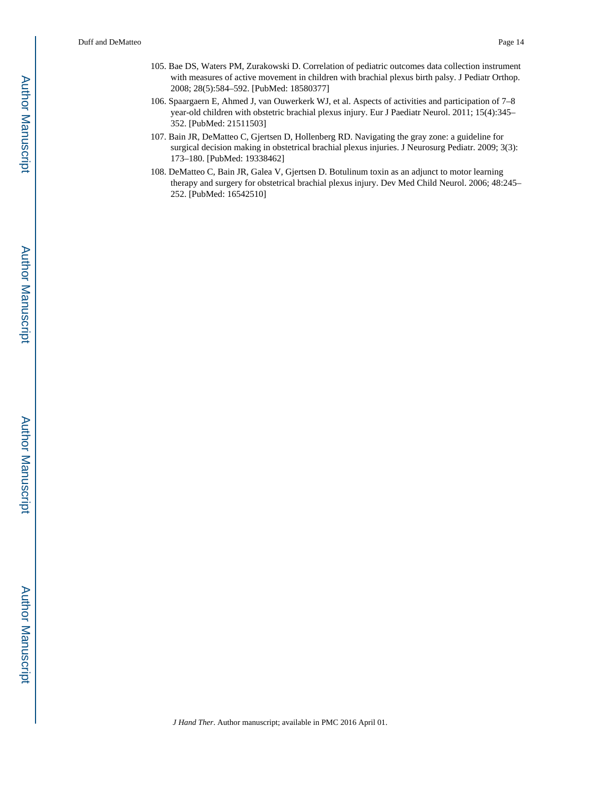- 105. Bae DS, Waters PM, Zurakowski D. Correlation of pediatric outcomes data collection instrument with measures of active movement in children with brachial plexus birth palsy. J Pediatr Orthop. 2008; 28(5):584–592. [PubMed: 18580377]
- 106. Spaargaern E, Ahmed J, van Ouwerkerk WJ, et al. Aspects of activities and participation of 7–8 year-old children with obstetric brachial plexus injury. Eur J Paediatr Neurol. 2011; 15(4):345– 352. [PubMed: 21511503]
- 107. Bain JR, DeMatteo C, Gjertsen D, Hollenberg RD. Navigating the gray zone: a guideline for surgical decision making in obstetrical brachial plexus injuries. J Neurosurg Pediatr. 2009; 3(3): 173–180. [PubMed: 19338462]
- 108. DeMatteo C, Bain JR, Galea V, Gjertsen D. Botulinum toxin as an adjunct to motor learning therapy and surgery for obstetrical brachial plexus injury. Dev Med Child Neurol. 2006; 48:245– 252. [PubMed: 16542510]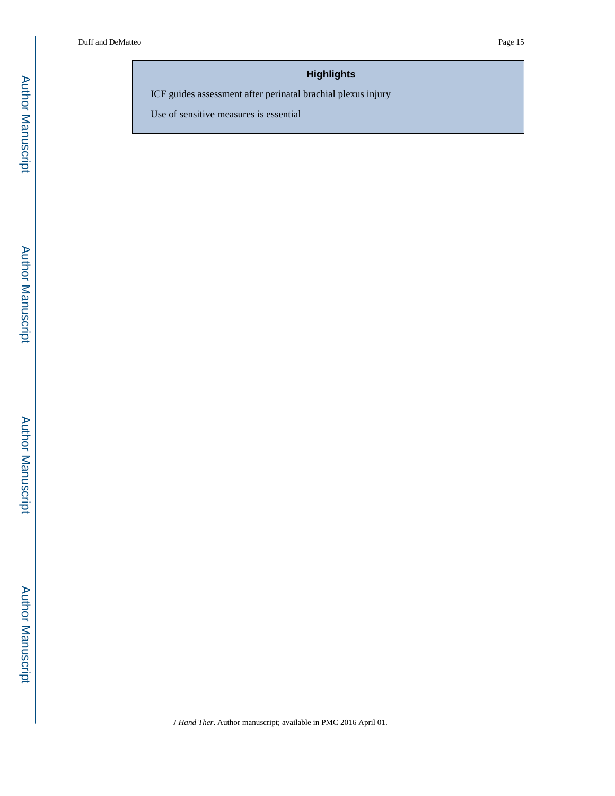# **Highlights**

ICF guides assessment after perinatal brachial plexus injury

Use of sensitive measures is essential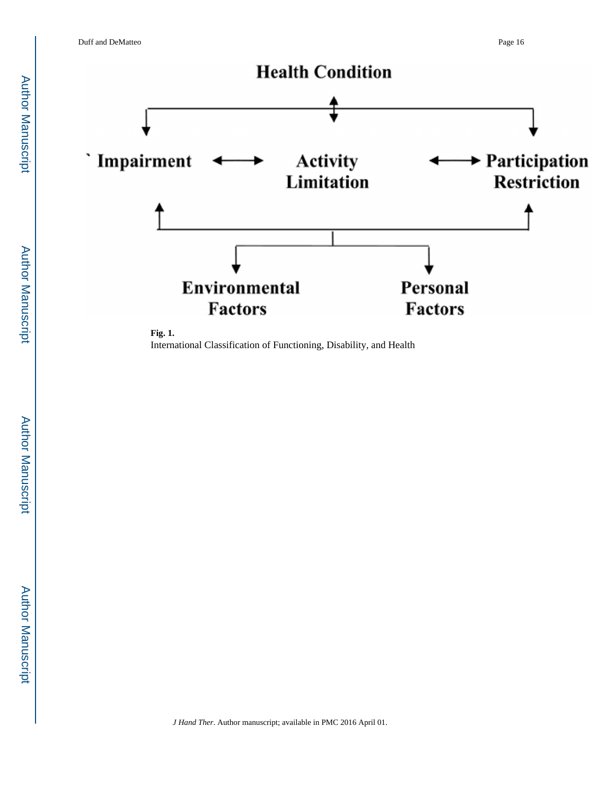

International Classification of Functioning, Disability, and Health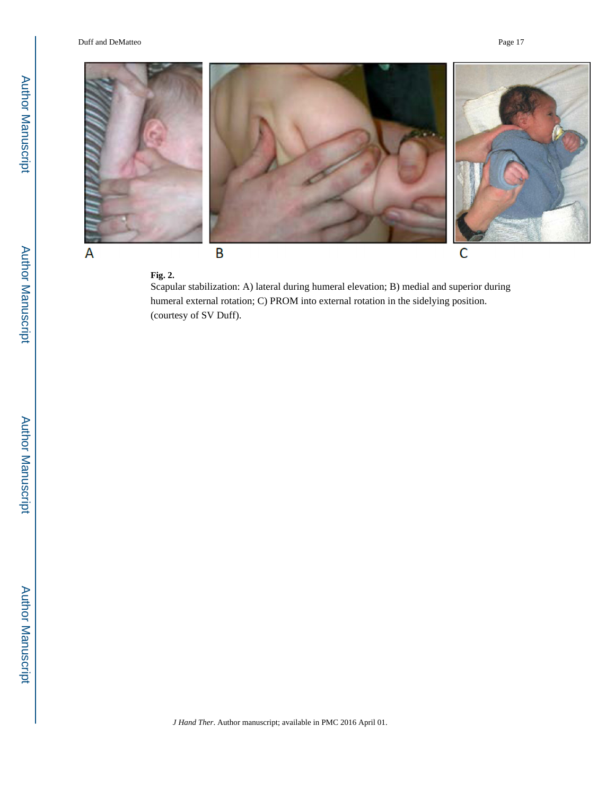

#### **Fig. 2.**

Scapular stabilization: A) lateral during humeral elevation; B) medial and superior during humeral external rotation; C) PROM into external rotation in the sidelying position. (courtesy of SV Duff).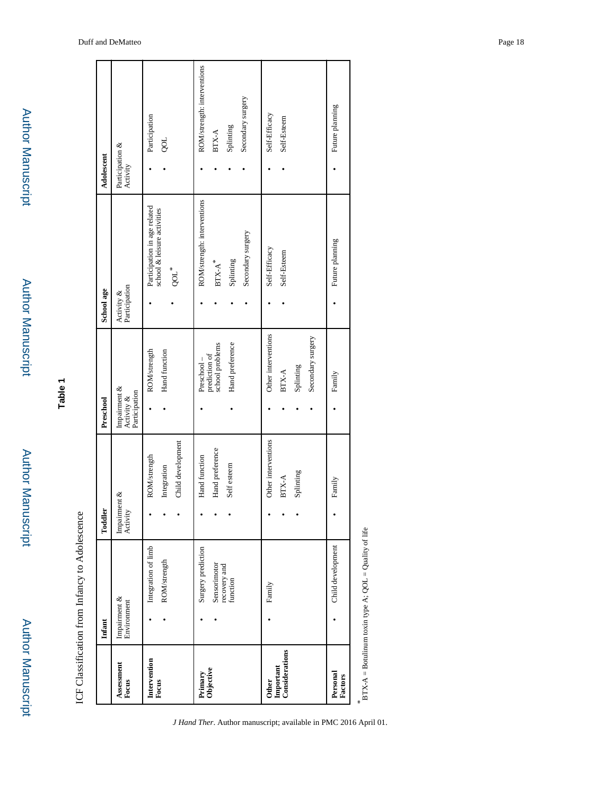|                                             | Infant                                                                     | Toddler                                            | Preschool                                                               | School age                                                                        | Adolescent                                                                      |
|---------------------------------------------|----------------------------------------------------------------------------|----------------------------------------------------|-------------------------------------------------------------------------|-----------------------------------------------------------------------------------|---------------------------------------------------------------------------------|
| Assessment<br>Focus                         | $\begin{array}{c} \text{Impaintent } \& \\ \text{Environment} \end{array}$ | Impairment &<br>Activity                           | Impairment &<br>Activity &<br>Participation                             | Activity &<br>Participation                                                       | Participation &<br>Activity                                                     |
| Intervention<br>Focus                       | Integration of limb<br>ROM/strength                                        | Child development<br>ROM/strength<br>Integration   | ROM/strength<br>Hand function                                           | Participation in age related<br>school & leisure activities<br>QOL <sup>*</sup>   | Participation<br><b>LOC</b>                                                     |
| Primary<br>Objective                        | Surgery prediction<br>Sensorimotor<br>recovery and<br>function             | Hand preference<br>Hand function<br>Self esteem    | prediction of<br>school problems<br>Hand preference<br>Preschool-       | ROM/strength: interventions<br>Secondary surgery<br>Splinting<br>$\text{BTX-A}^*$ | ROM/strength: interventions<br>Secondary surgery<br>Splinting<br>$\text{BTX-A}$ |
| Important<br>Considerations<br><b>Other</b> | Family                                                                     | Other interventions<br>Splinting<br>$_{\rm BTX-A}$ | Other interventions<br>Secondary surgery<br>Splinting<br>$_{\rm BTX-A}$ | Self-Efficacy<br>Self-Esteem                                                      | Self-Efficacy<br>Self-Esteem                                                    |
| Personal<br>Factors                         | Child development                                                          | Family                                             | Family                                                                  | Future planning                                                                   | Future planning                                                                 |

 $*$  **BTX-A** = Botulinum toxin type A; QOL = Quality of life  $BTX-A = Botulum toxin type A; QOL = Quality of life$ 

**Author Manuscript** Author Manuscript

Author Manuscript

**Author Manuscript** 

Author Manuscript

Author Manuscript

Author Manuscript

Author Manuscript

**Table 1**

ICF Classification from Infancy to Adolescence ICF Classification from Infancy to Adolescence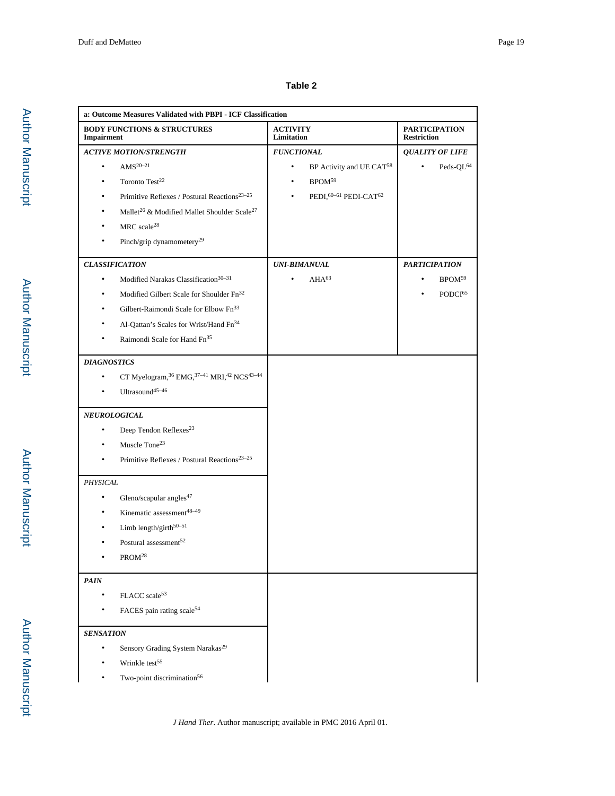## **Table 2**

| a: Outcome Measures Validated with PBPI - ICF Classification            |                                                   |                                            |
|-------------------------------------------------------------------------|---------------------------------------------------|--------------------------------------------|
| <b>BODY FUNCTIONS &amp; STRUCTURES</b><br>Impairment                    | <b>ACTIVITY</b><br>Limitation                     | <b>PARTICIPATION</b><br><b>Restriction</b> |
| <b>ACTIVE MOTION/STRENGTH</b>                                           | <b>FUNCTIONAL</b>                                 | <b>QUALITY OF LIFE</b>                     |
| AMS <sup>20-21</sup><br>$\bullet$                                       | BP Activity and UE CAT <sup>58</sup><br>$\bullet$ | $\bullet$<br>Peds-QL <sup>64</sup>         |
| Toronto Test <sup>22</sup><br>٠                                         | BPOM <sup>59</sup><br>$\bullet$                   |                                            |
| Primitive Reflexes / Postural Reactions <sup>23-25</sup>                | PEDI, 60-61 PEDI-CAT62                            |                                            |
| $\mathbf{Mallet}^{26}$ & Modified Mallet Shoulder $\mathbf{Scale}^{27}$ |                                                   |                                            |
| MRC scale <sup>28</sup>                                                 |                                                   |                                            |
| Pinch/grip dynamometery <sup>29</sup>                                   |                                                   |                                            |
| <b>CLASSIFICATION</b>                                                   | <b>UNI-BIMANUAL</b>                               | <b>PARTICIPATION</b>                       |
| Modified Narakas Classification <sup>30-31</sup><br>$\bullet$           | AHA <sup>63</sup><br>۰                            | BPOM <sup>59</sup><br>$\bullet$            |
| Modified Gilbert Scale for Shoulder Fn <sup>32</sup>                    |                                                   | PODCI <sup>65</sup>                        |
| Gilbert-Raimondi Scale for Elbow Fn <sup>33</sup><br>٠                  |                                                   |                                            |
| Al-Qattan's Scales for Wrist/Hand Fn <sup>34</sup>                      |                                                   |                                            |
| Raimondi Scale for Hand Fn <sup>35</sup><br>٠                           |                                                   |                                            |
| <b>DIAGNOSTICS</b>                                                      |                                                   |                                            |
| CT Myelogram, $^{36}$ EMG, $^{37-41}$ MRI, $^{42}$ NCS $^{43-44}$<br>۰  |                                                   |                                            |
| Ultrasound <sup>45-46</sup>                                             |                                                   |                                            |
| <b>NEUROLOGICAL</b>                                                     |                                                   |                                            |
| Deep Tendon Reflexes <sup>23</sup><br>$\bullet$                         |                                                   |                                            |
| Muscle Tone <sup>23</sup><br>۰                                          |                                                   |                                            |
| Primitive Reflexes / Postural Reactions <sup>23-25</sup><br>٠           |                                                   |                                            |
| PHYSICAL                                                                |                                                   |                                            |
| Gleno/scapular angles <sup>47</sup><br>$\bullet$                        |                                                   |                                            |
| Kinematic assessment <sup>48-49</sup>                                   |                                                   |                                            |
| Limb length/girth $50-51$                                               |                                                   |                                            |
| Postural assessment $^{52}$                                             |                                                   |                                            |
| PROM <sup>28</sup>                                                      |                                                   |                                            |
| <b>PAIN</b>                                                             |                                                   |                                            |
| FLACC scale <sup>53</sup>                                               |                                                   |                                            |
| FACES pain rating scale <sup>54</sup>                                   |                                                   |                                            |
| <b>SENSATION</b>                                                        |                                                   |                                            |
| Sensory Grading System Narakas <sup>29</sup><br>$\bullet$               |                                                   |                                            |
| Wrinkle test <sup>55</sup>                                              |                                                   |                                            |
| Two-point discrimination <sup>56</sup>                                  |                                                   |                                            |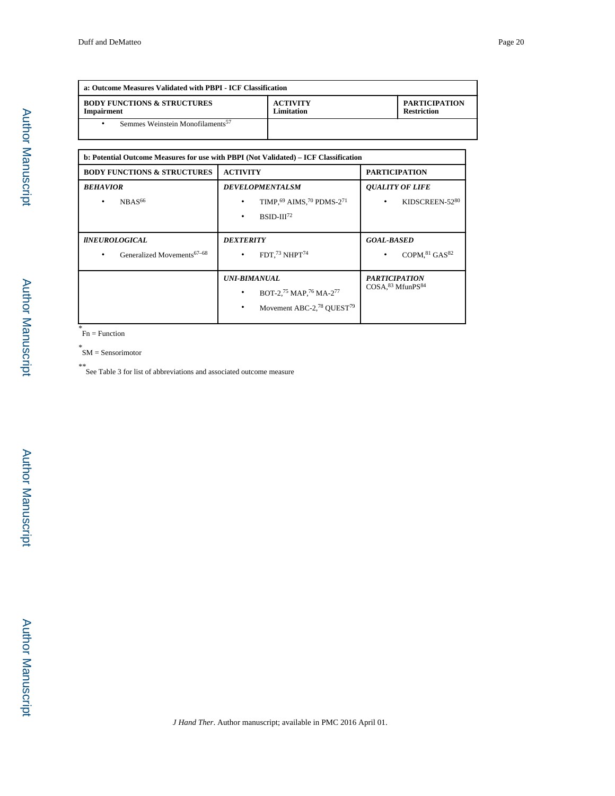| a: Outcome Measures Validated with PBPI - ICF Classification |                               |                                            |
|--------------------------------------------------------------|-------------------------------|--------------------------------------------|
| <b>BODY FUNCTIONS &amp; STRUCTURES</b><br><b>Impairment</b>  | <b>ACTIVITY</b><br>Limitation | <b>PARTICIPATION</b><br><b>Restriction</b> |
| Semmes Weinstein Monofilaments <sup>57</sup>                 |                               |                                            |

|                                                                       | b: Potential Outcome Measures for use with PBPI (Not Validated) – ICF Classification               |                                               |
|-----------------------------------------------------------------------|----------------------------------------------------------------------------------------------------|-----------------------------------------------|
| <b>BODY FUNCTIONS &amp; STRUCTURES</b>                                | <b>ACTIVITY</b>                                                                                    | <b>PARTICIPATION</b>                          |
| <b>BEHAVIOR</b><br>NBAS <sup>66</sup><br>٠                            | <b>DEVELOPMENTALSM</b><br>TIMP, 69 AIMS, 70 PDMS-271<br>$BSID-III72$                               | <b>OUALITY OF LIFE</b><br>KIDSCREEN-5280<br>٠ |
| <i><b>UNEUROLOGICAL</b></i><br>Generalized Movements <sup>67-68</sup> | <b>DEXTERITY</b><br>FDT. $73$ NHPT $74$                                                            | <b>GOAL-BASED</b><br>COPM. $81$ GAS $82$<br>٠ |
|                                                                       | <b>UNI-BIMANUAL</b><br>BOT-2,75 MAP,76 MA-277<br>Movement ABC-2, <sup>78</sup> QUEST <sup>79</sup> | <b>PARTICIPATION</b><br>COSA, 83 MfunPS84     |

*\** Fn = Function

*\** SM = Sensorimotor

*\*\**See Table 3 for list of abbreviations and associated outcome measure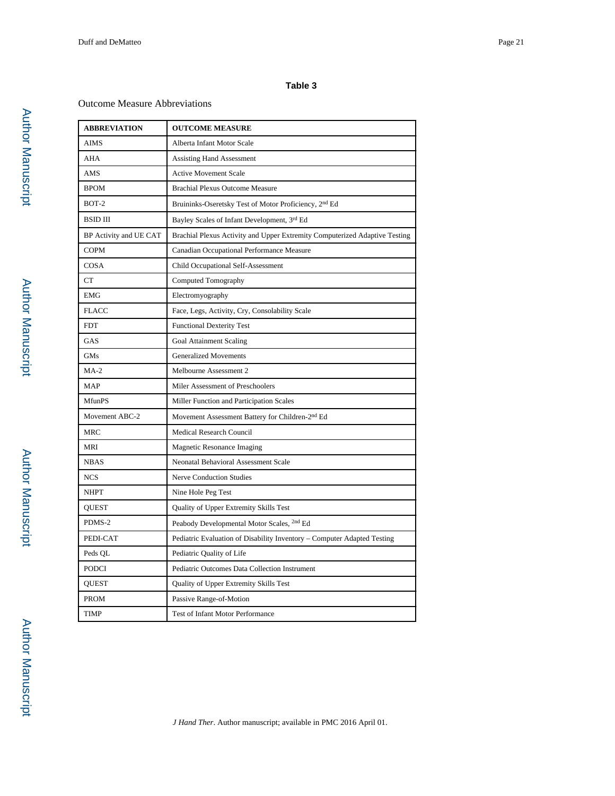## **Table 3**

#### Outcome Measure Abbreviations

| <b>ABBREVIATION</b>    | <b>OUTCOME MEASURE</b>                                                     |  |
|------------------------|----------------------------------------------------------------------------|--|
| <b>AIMS</b>            | Alberta Infant Motor Scale                                                 |  |
| AHA                    | <b>Assisting Hand Assessment</b>                                           |  |
| AMS                    | <b>Active Movement Scale</b>                                               |  |
| <b>BPOM</b>            | <b>Brachial Plexus Outcome Measure</b>                                     |  |
| $BOT-2$                | Bruininks-Oseretsky Test of Motor Proficiency, 2 <sup>nd</sup> Ed          |  |
| <b>BSID III</b>        | Bayley Scales of Infant Development, 3rd Ed                                |  |
| BP Activity and UE CAT | Brachial Plexus Activity and Upper Extremity Computerized Adaptive Testing |  |
| COPM                   | Canadian Occupational Performance Measure                                  |  |
| COSA                   | Child Occupational Self-Assessment                                         |  |
| CT                     | Computed Tomography                                                        |  |
| <b>EMG</b>             | Electromyography                                                           |  |
| <b>FLACC</b>           | Face, Legs, Activity, Cry, Consolability Scale                             |  |
| <b>FDT</b>             | <b>Functional Dexterity Test</b>                                           |  |
| GAS                    | <b>Goal Attainment Scaling</b>                                             |  |
| <b>GMs</b>             | <b>Generalized Movements</b>                                               |  |
| $MA-2$                 | Melbourne Assessment 2                                                     |  |
| <b>MAP</b>             | Miler Assessment of Preschoolers                                           |  |
| <b>MfunPS</b>          | Miller Function and Participation Scales                                   |  |
| Movement ABC-2         | Movement Assessment Battery for Children-2 <sup>nd</sup> Ed                |  |
| MRC                    | <b>Medical Research Council</b>                                            |  |
| <b>MRI</b>             | Magnetic Resonance Imaging                                                 |  |
| <b>NBAS</b>            | Neonatal Behavioral Assessment Scale                                       |  |
| <b>NCS</b>             | <b>Nerve Conduction Studies</b>                                            |  |
| <b>NHPT</b>            | Nine Hole Peg Test                                                         |  |
| <b>OUEST</b>           | Quality of Upper Extremity Skills Test                                     |  |
| PDMS-2                 | Peabody Developmental Motor Scales, <sup>2nd</sup> Ed                      |  |
| PEDI-CAT               | Pediatric Evaluation of Disability Inventory - Computer Adapted Testing    |  |
| Peds QL                | Pediatric Quality of Life                                                  |  |
| <b>PODCI</b>           | Pediatric Outcomes Data Collection Instrument                              |  |
| <b>QUEST</b>           | Quality of Upper Extremity Skills Test                                     |  |
| <b>PROM</b>            | Passive Range-of-Motion                                                    |  |
| TIMP                   | Test of Infant Motor Performance                                           |  |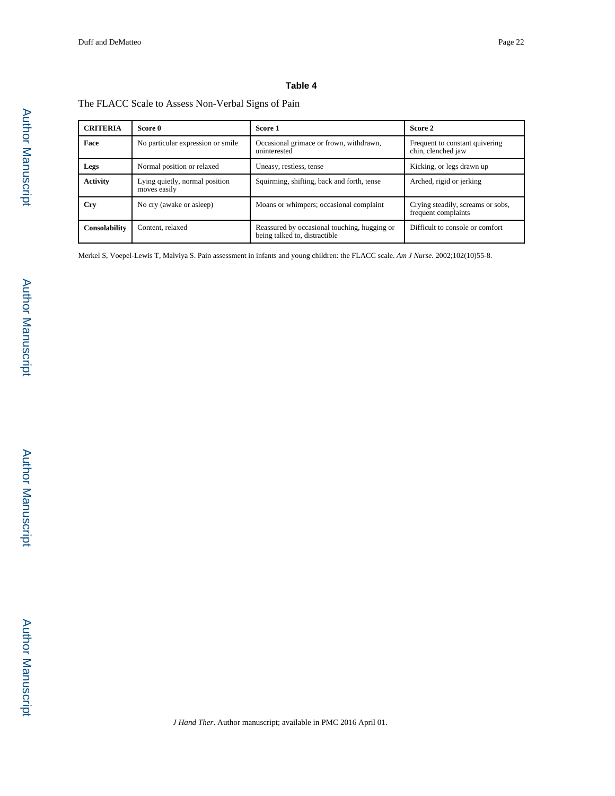## **Table 4**

## The FLACC Scale to Assess Non-Verbal Signs of Pain

| <b>CRITERIA</b> | Score 0                                        | Score 1                                                                       | Score 2                                                  |
|-----------------|------------------------------------------------|-------------------------------------------------------------------------------|----------------------------------------------------------|
| Face            | No particular expression or smile              | Occasional grimace or frown, withdrawn,<br>uninterested                       | Frequent to constant quivering<br>chin, clenched jaw     |
| Legs            | Normal position or relaxed                     | Uneasy, restless, tense                                                       | Kicking, or legs drawn up                                |
| <b>Activity</b> | Lying quietly, normal position<br>moves easily | Squirming, shifting, back and forth, tense                                    | Arched, rigid or jerking                                 |
| Cry             | No cry (awake or asleep)                       | Moans or whimpers; occasional complaint                                       | Crying steadily, screams or sobs,<br>frequent complaints |
| Consolability   | Content, relaxed                               | Reassured by occasional touching, hugging or<br>being talked to, distractible | Difficult to console or comfort                          |

Merkel S, Voepel-Lewis T, Malviya S. Pain assessment in infants and young children: the FLACC scale. *Am J Nurse*. 2002;102(10)55-8.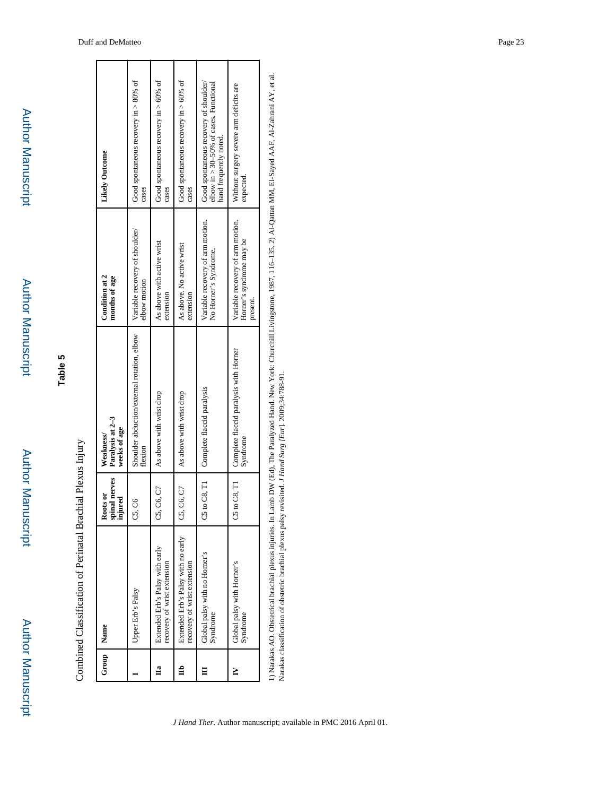Author Manuscript

**Author Manuscript** 

| į      |
|--------|
| i      |
|        |
| j<br>i |
| ł      |

| Group | Name                                                              | spinal nerves<br>injured<br>Roots or | Paralysis at 2-3<br>weeks of age<br>Weakness/          | Condition at 2<br>months of age                                         | Likely Outcome                                                                                                |
|-------|-------------------------------------------------------------------|--------------------------------------|--------------------------------------------------------|-------------------------------------------------------------------------|---------------------------------------------------------------------------------------------------------------|
|       | Upper Erb's Palsy                                                 | S<br>5                               | Shoulder abduction/external rotation, elbow<br>flexion | Variable recovery of shoulder/<br>elbow motion                          | Good spontaneous recovery in $> 80\%$ of<br>cases                                                             |
| Цa    | Extended Erb's Palsy with early<br>recovery of wrist extension    | C6, C7<br>ö,                         | As above with wrist drop                               | As above with active wrist<br>extension                                 | Good spontaneous recovery in $> 60\%$ of<br>cases                                                             |
| ₿     | Extended Erb's Palsy with no early<br>recovery of wrist extension | C6, C7<br>ö                          | As above with wrist drop                               | As above. No active wrist<br>extension                                  | Good spontaneous recovery in $> 60\%$ of<br>cases                                                             |
|       | Global palsy with no Horner's<br>Syndrome                         | to C8, T1<br>Ů                       | Complete flaccid paralysis                             | Variable recovery of arm motion.<br>No Horner's Syndrome.               | Good spontaneous recovery of shoulder/<br>elbow in $> 30-50\%$ of cases. Functional<br>hand frequently noted. |
| ≧     | Global palsy with Horner's<br>Syndrome                            | to C8, T1<br>S                       | Complete flaccid paralysis with Horner<br>Syndrome     | Variable recovery of arm motion.<br>Horner's syndrome may be<br>present | Without surgery severe arm deficits are<br>expected                                                           |
|       |                                                                   |                                      |                                                        |                                                                         |                                                                                                               |

1) Narakas AO. Obstetrical brachial plexus injuries. In Lamb DW (Ed), The Paralyzed Hand. New York: Churchill Livingstone, 1987, 116-135. 2) Al-Qattan MM, El-Sayed AAF, Al-Zahrani AY, et al.<br>Narakas classification of obste 1) Narakas AO. Obstetrical brachial plexus injuries. In Lamb DW (Ed), The Paralyzed Hand. New York: Churchill Livingstone, 1987, 116–135. 2) Al-Qattan MM, El-Sayed AAF, Al-Zahrani AY, et al. Narakas classification of obstetric brachial plexus palsy revisited. *J Hand Surg [Eur*]. 2009;34:788-91.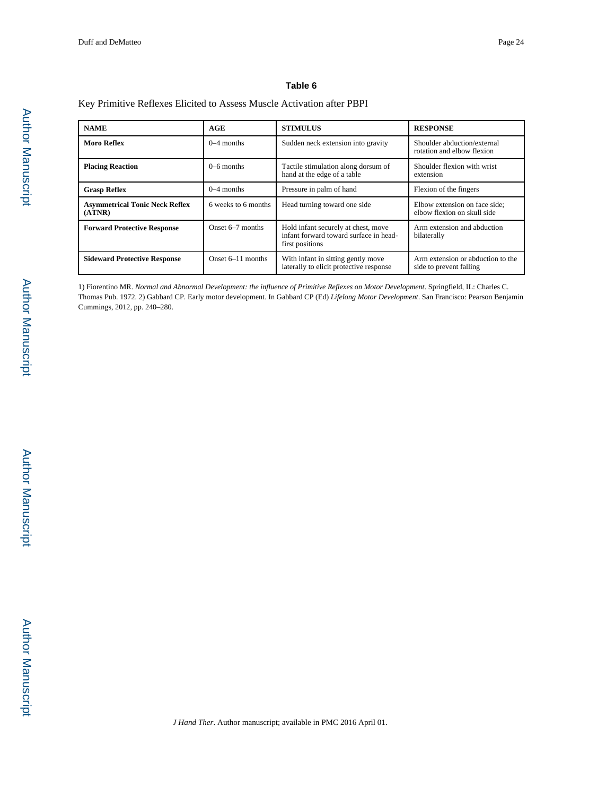#### **Table 6**

#### Key Primitive Reflexes Elicited to Assess Muscle Activation after PBPI

| <b>NAME</b>                                     | AGE                 | <b>STIMULUS</b>                                                                                  | <b>RESPONSE</b>                                              |
|-------------------------------------------------|---------------------|--------------------------------------------------------------------------------------------------|--------------------------------------------------------------|
| <b>Moro Reflex</b>                              | $0-4$ months        | Sudden neck extension into gravity                                                               | Shoulder abduction/external<br>rotation and elbow flexion    |
| <b>Placing Reaction</b>                         | $0-6$ months        | Tactile stimulation along dorsum of<br>hand at the edge of a table                               | Shoulder flexion with wrist<br>extension                     |
| <b>Grasp Reflex</b>                             | $0-4$ months        | Pressure in palm of hand                                                                         | Flexion of the fingers                                       |
| <b>Asymmetrical Tonic Neck Reflex</b><br>(ATNR) | 6 weeks to 6 months | Head turning toward one side                                                                     | Elbow extension on face side;<br>elbow flexion on skull side |
| <b>Forward Protective Response</b>              | Onset 6–7 months    | Hold infant securely at chest, move<br>infant forward toward surface in head-<br>first positions | Arm extension and abduction<br>bilaterally                   |
| <b>Sideward Protective Response</b>             | Onset $6-11$ months | With infant in sitting gently move<br>laterally to elicit protective response                    | Arm extension or abduction to the<br>side to prevent falling |

1) Fiorentino MR. *Normal and Abnormal Development: the influence of Primitive Reflexes on Motor Development*. Springfield, IL: Charles C. Thomas Pub. 1972. 2) Gabbard CP. Early motor development. In Gabbard CP (Ed) *Lifelong Motor Development*. San Francisco: Pearson Benjamin Cummings, 2012, pp. 240–280.